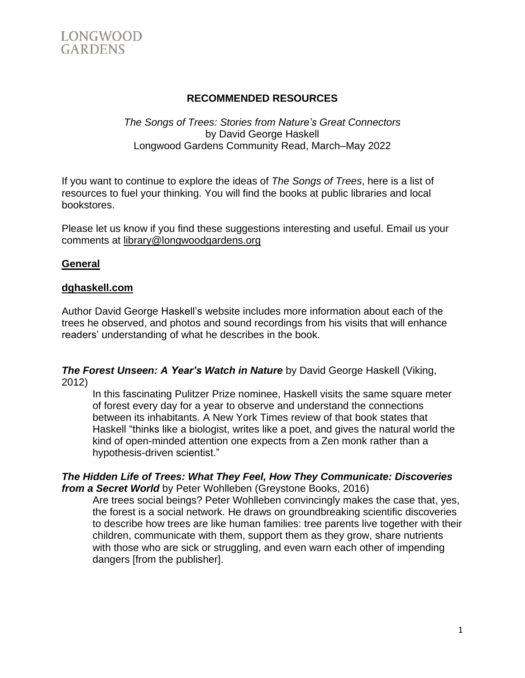

## **RECOMMENDED RESOURCES**

#### *The Songs of Trees: Stories from Nature's Great Connectors* by David George Haskell Longwood Gardens Community Read, March–May 2022

If you want to continue to explore the ideas of *The Songs of Trees*, here is a list of resources to fuel your thinking. You will find the books at public libraries and local bookstores.

Please let us know if you find these suggestions interesting and useful. Email us your comments at [library@longwoodgardens.org](mailto:library@longwoodgardens.org)

### **General**

#### **[dghaskell.com](http://www.dghaskell.com/)**

Author David George Haskell's website includes more information about each of the trees he observed, and photos and sound recordings from his visits that will enhance readers' understanding of what he describes in the book.

*The Forest Unseen: A Year's Watch in Nature* by David George Haskell (Viking, 2012)

In this fascinating Pulitzer Prize nominee, Haskell visits the same square meter of forest every day for a year to observe and understand the connections between its inhabitants*.* A New York Times review of that book states that Haskell "thinks like a biologist, writes like a poet, and gives the natural world the kind of open-minded attention one expects from a Zen monk rather than a hypothesis-driven scientist."

#### *The Hidden Life of Trees: What They Feel, How They Communicate: Discoveries from a Secret World* by Peter Wohlleben (Greystone Books, 2016)

Are trees social beings? Peter Wohlleben convincingly makes the case that, yes, the forest is a social network. He draws on groundbreaking scientific discoveries to describe how trees are like human families: tree parents live together with their children, communicate with them, support them as they grow, share nutrients with those who are sick or struggling, and even warn each other of impending dangers [from the publisher].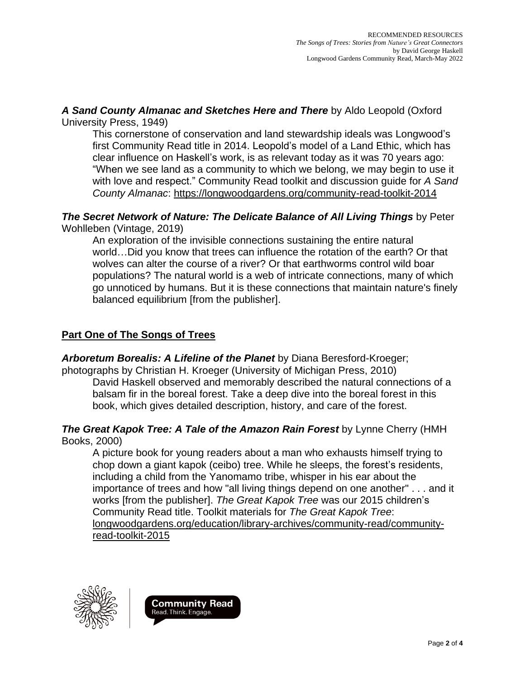*A Sand County Almanac and Sketches Here and There* by Aldo Leopold (Oxford University Press, 1949)

This cornerstone of conservation and land stewardship ideals was Longwood's first Community Read title in 2014. Leopold's model of a Land Ethic, which has clear influence on Haskell's work, is as relevant today as it was 70 years ago: "When we see land as a community to which we belong, we may begin to use it with love and respect." Community Read toolkit and discussion guide for *A Sand County Almanac*: <https://longwoodgardens.org/community-read-toolkit-2014>

### *The Secret Network of Nature: The Delicate Balance of All Living Things* by Peter Wohlleben (Vintage, 2019)

An exploration of the invisible connections sustaining the entire natural world…Did you know that trees can influence the rotation of the earth? Or that wolves can alter the course of a river? Or that earthworms control wild boar populations? The natural world is a web of intricate connections, many of which go unnoticed by humans. But it is these connections that maintain nature's finely balanced equilibrium [from the publisher].

## **Part One of The Songs of Trees**

*Arboretum Borealis: A Lifeline of the Planet* by Diana Beresford-Kroeger;

photographs by Christian H. Kroeger (University of Michigan Press, 2010) David Haskell observed and memorably described the natural connections of a balsam fir in the boreal forest. Take a deep dive into the boreal forest in this book, which gives detailed description, history, and care of the forest.

#### *The Great Kapok Tree: A Tale of the Amazon Rain Forest* by Lynne Cherry (HMH Books, 2000)

A picture book for young readers about a man who exhausts himself trying to chop down a giant kapok (ceibo) tree. While he sleeps, the forest's residents, including a child from the Yanomamo tribe, whisper in his ear about the importance of trees and how "all living things depend on one another" . . . and it works [from the publisher]. *The Great Kapok Tree* was our 2015 children's Community Read title. Toolkit materials for *The Great Kapok Tree*: [longwoodgardens.org/education/library-archives/community-read/community](https://longwoodgardens.org/education/library-archives/community-read/community-read-toolkit-2015)[read-toolkit-2015](https://longwoodgardens.org/education/library-archives/community-read/community-read-toolkit-2015)



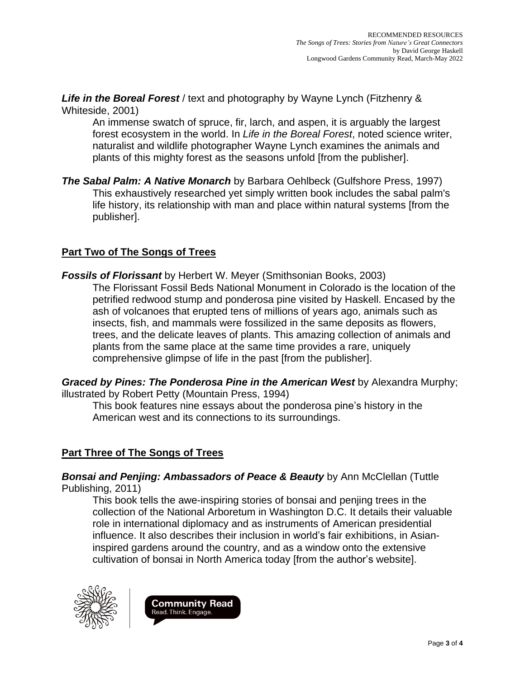*Life in the Boreal Forest* / text and photography by Wayne Lynch (Fitzhenry & Whiteside, 2001)

An immense swatch of spruce, fir, larch, and aspen, it is arguably the largest forest ecosystem in the world. In *Life in the Boreal Forest*, noted science writer, naturalist and wildlife photographer Wayne Lynch examines the animals and plants of this mighty forest as the seasons unfold [from the publisher].

*The Sabal Palm: A Native Monarch* by Barbara Oehlbeck (Gulfshore Press, 1997) This exhaustively researched yet simply written book includes the sabal palm's life history, its relationship with man and place within natural systems [from the publisher].

## **Part Two of The Songs of Trees**

*Fossils of Florissant* by Herbert W. Meyer (Smithsonian Books, 2003) The Florissant Fossil Beds National Monument in Colorado is the location of the petrified redwood stump and ponderosa pine visited by Haskell. Encased by the ash of volcanoes that erupted tens of millions of years ago, animals such as insects, fish, and mammals were fossilized in the same deposits as flowers, trees, and the delicate leaves of plants. This amazing collection of animals and plants from the same place at the same time provides a rare, uniquely comprehensive glimpse of life in the past [from the publisher].

*Graced by Pines: The Ponderosa Pine in the American West* by Alexandra Murphy; illustrated by Robert Petty (Mountain Press, 1994)

This book features nine essays about the ponderosa pine's history in the American west and its connections to its surroundings.

# **Part Three of The Songs of Trees**

*Bonsai and Penjing: Ambassadors of Peace & Beauty* by Ann McClellan (Tuttle Publishing, 2011)

This book tells the awe-inspiring stories of bonsai and penjing trees in the collection of the National Arboretum in Washington D.C. It details their valuable role in international diplomacy and as instruments of American presidential influence. It also describes their inclusion in world's fair exhibitions, in Asianinspired gardens around the country, and as a window onto the extensive cultivation of bonsai in North America today [from the author's website].